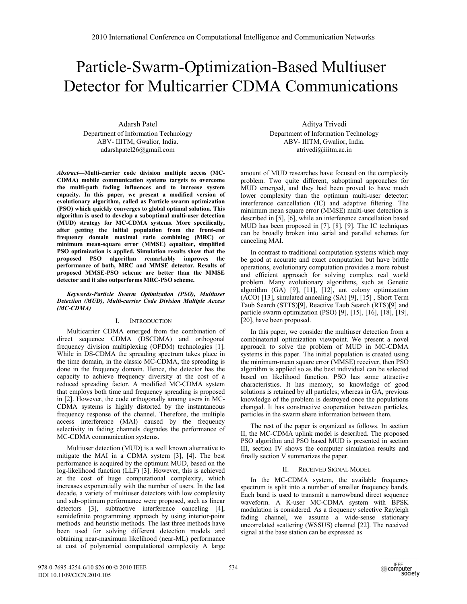# Particle-Swarm-Optimization-Based Multiuser Detector for Multicarrier CDMA Communications

Adarsh Patel Department of Information Technology ABV- IIITM, Gwalior, India. adarshpatel26@gmail.com

*Abstract***—Multi-carrier code division multiple access (MC-CDMA) mobile communication systems targets to overcome the multi-path fading influences and to increase system capacity. In this paper, we present a modified version of evolutionary algorithm, called as Particle swarm optimization (PSO) which quickly converges to global optimal solution. This algorithm is used to develop a suboptimal multi-user detection (MUD) strategy for MC-CDMA systems. More specifically, after getting the initial population from the front-end frequency domain maximal ratio combining (MRC) or minimum mean-square error (MMSE) equalizer, simplified PSO optimization is applied. Simulation results show that the proposed PSO algorithm remarkably improves the performance of both, MRC and MMSE detector. Results of proposed MMSE-PSO scheme are better than the MMSE detector and it also outperforms MRC-PSO scheme.**

*Keywords-Particle Swarm Optimization (PSO), Multiuser Detection (MUD), Multi-carrier Code Division Multiple Access (MC-CDMA)* 

## I. INTRODUCTION

Multicarrier CDMA emerged from the combination of direct sequence CDMA (DSCDMA) and orthogonal frequency division multiplexing (OFDM) technologies [1]. While in DS-CDMA the spreading spectrum takes place in the time domain, in the classic MC-CDMA, the spreading is done in the frequency domain. Hence, the detector has the capacity to achieve frequency diversity at the cost of a reduced spreading factor. A modified MC-CDMA system that employs both time and frequency spreading is proposed in [2]. However, the code orthogonally among users in MC-CDMA systems is highly distorted by the instantaneous frequency response of the channel. Therefore, the multiple access interference (MAI) caused by the frequency selectivity in fading channels degrades the performance of MC-CDMA communication systems.

Multiuser detection (MUD) is a well known alternative to mitigate the MAI in a CDMA system [3], [4]. The best performance is acquired by the optimum MUD, based on the log-likelihood function (LLF) [3]. However, this is achieved at the cost of huge computational complexity, which increases exponentially with the number of users. In the last decade, a variety of multiuser detectors with low complexity and sub-optimum performance were proposed, such as linear detectors [3], subtractive interference canceling [4], semidefinite programming approach by using interior-point methods and heuristic methods. The last three methods have been used for solving different detection models and obtaining near-maximum likelihood (near-ML) performance at cost of polynomial computational complexity A large

Aditya Trivedi Department of Information Technology ABV- IIITM, Gwalior, India. atrivedi@iiitm.ac.in

amount of MUD researches have focused on the complexity problem. Two quite different, suboptimal approaches for MUD emerged, and they had been proved to have much lower complexity than the optimum multi-user detector: interference cancellation (IC) and adaptive filtering. The minimum mean square error (MMSE) multi-user detection is described in [5], [6], while an interference cancellation based MUD has been proposed in [7], [8], [9]. The IC techniques can be broadly broken into serial and parallel schemes for canceling MAI.

In contrast to traditional computation systems which may be good at accurate and exact computation but have brittle operations, evolutionary computation provides a more robust and efficient approach for solving complex real world problem. Many evolutionary algorithms, such as Genetic algorithm (GA) [9], [11], [12], ant colony optimization (ACO) [13], simulated annealing (SA) [9], [15] , Short Term Taub Search (STTS)[9], Reactive Taub Search (RTS)[9] and particle swarm optimization (PSO) [9], [15], [16], [18], [19], [20], have been proposed.

In this paper, we consider the multiuser detection from a combinatorial optimization viewpoint. We present a novel approach to solve the problem of MUD in MC-CDMA systems in this paper. The initial population is created using the minimum-mean square error (MMSE) receiver, then PSO algorithm is applied so as the best individual can be selected based on likelihood function. PSO has some attractive characteristics. It has memory, so knowledge of good solutions is retained by all particles; whereas in GA, previous knowledge of the problem is destroyed once the populations changed. It has constructive cooperation between particles, particles in the swarm share information between them.

The rest of the paper is organized as follows. In section II, the MC-CDMA uplink model is described. The proposed PSO algorithm and PSO based MUD is presented in section III, section IV shows the computer simulation results and finally section V summarizes the paper.

## II. RECEIVED SIGNAL MODEL

In the MC-CDMA system, the available frequency spectrum is split into a number of smaller frequency bands. Each band is used to transmit a narrowband direct sequence waveform. A K-user MC-CDMA system with BPSK modulation is considered. As a frequency selective Rayleigh fading channel, we assume a wide-sense stationary uncorrelated scattering (WSSUS) channel [22]. The received signal at the base station can be expressed as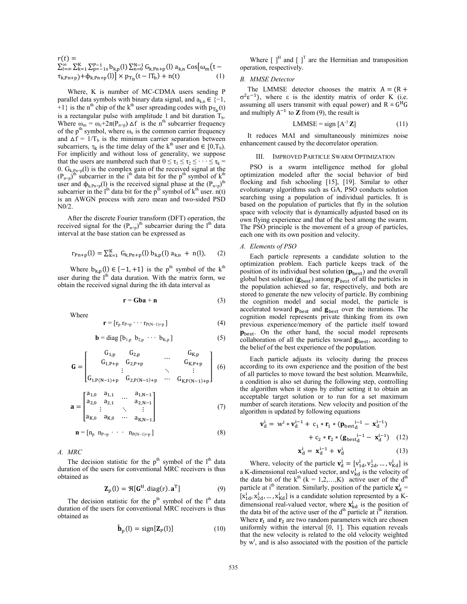$$
r(t) = \sum_{l=\infty}^{K} \sum_{k=1}^{N} \sum_{p=-1s}^{P-1} b_{k,p}(l) \sum_{n=0}^{N-1} G_{k, Pn+p}(l) a_{k,n} \cos[\omega_m(t - \tau_{k, Pn+p}) + \Phi_{k, Pn+p}(l)] \times p_{T_b}(t - l_{D}) + n(t) \tag{1}
$$

Where, K is number of MC-CDMA users sending P parallel data symbols with binary data signal, and  $a_{k,n} \in \{-1,$ +1} is the n<sup>th</sup> chip of the k<sup>th</sup> user spreading codes with  $p_{T<sub>h</sub>}(t)$ is a rectangular pulse with amplitude 1 and bit duration  $T_b$ . Where  $\omega_m = \omega_c + 2\pi(P_{n+p}) \Delta f$  is the n<sup>th</sup> subcarrier frequency of the p<sup>th</sup> symbol, where  $\omega_c$  is the common carrier frequency and  $\Delta f = 1/T_b$  is the minimum carrier separation between subcarriers,  $\tau_k$  is the time delay of the k<sup>th</sup> user and  $\in [0, T_b)$ . For implicitly and without loss of generality, we suppose that the users are numbered such that  $0 \le \tau_1 \le \tau_2 \le \cdots \le \tau_k =$ 0.  $G_{k, Pn+p}(l)$  is the complex gain of the received signal at the  $(P_{n+p})$ <sup>th r</sup>subcarrier in the i<sup>th</sup> data bit for the p<sup>th</sup> symbol of k<sup>th</sup> user and  $\phi_{k, Pn+p}(l)$  is the received signal phase at the  $(P_{n+p})$ <sup>th</sup> subcarrier in the l<sup>th</sup> data bit for the p<sup>th</sup> symbol of  $k<sup>th</sup>$  user. n(t) is an AWGN process with zero mean and two-sided PSD N0/2.

After the discrete Fourier transform (DFT) operation, the received signal for the  $(P_{n+p})$ <sup>th</sup> subcarrier during the l<sup>th</sup> data interval at the base station can be expressed as

$$
r_{p_{n+p}}(l) = \sum_{k=1}^{K} G_{k, p_{n+p}}(l) b_{k, p}(l) a_{k, n} + n(l), \qquad (2)
$$

Where  $b_{k,p}(l) \in \{-1, +1\}$  is the p<sup>th</sup> symbol of the k<sup>th</sup> user during the  $l<sup>th</sup>$  data duration. With the matrix form, we obtain the received signal during the ith data interval as

$$
\mathbf{r} = \mathbf{G}\mathbf{b}\mathbf{a} + \mathbf{n} \tag{3}
$$

Where

$$
\mathbf{r} = [r_p r_{P+p} \cdots r_{P(N-1)+p}] \tag{4}
$$

$$
\mathbf{b} = \text{diag} \left[ b_{1,p} \ b_{2,p} \ \cdots \ b_{K,p} \right] \tag{5}
$$

$$
\mathbf{G} = \begin{bmatrix} G_{1,p} & G_{2,p} & \dots & G_{K,p} \\ G_{1,P+p} & G_{2,P+p} & & G_{K,P+p} \\ \vdots & \vdots & \ddots & \vdots \\ G_{1,P(N-1)+p} & G_{2,P(N-1)+p} & \dots & G_{K,P(N-1)+p} \end{bmatrix} (6)
$$

$$
\mathbf{a} = \begin{bmatrix} a_{1,0} & a_{1,1} & \dots & a_{1,N-1} \\ a_{2,0} & a_{2,1} & & a_{2,N-1} \\ \vdots & \vdots & & \vdots \\ a_{K,0} & a_{K,0} & \dots & a_{K,N-1} \end{bmatrix}
$$
 (7)

$$
\mathbf{n} = [n_p \ n_{P+p} \cdot \cdot \cdot \ n_{P(N-1)+p}] \tag{8}
$$

*A. MRC* 

The decision statistic for the  $p<sup>th</sup>$  symbol of the  $l<sup>th</sup>$  data duration of the users for conventional MRC receivers is thus obtained as

$$
\mathbf{Z}_{\mathbf{p}}(\mathbf{l}) = \Re[\mathbf{G}^{\mathbf{H}}.\,\mathrm{diag}(\mathbf{r}).\,\mathbf{a}^{\mathbf{T}}] \tag{9}
$$

The decision statistic for the  $p<sup>th</sup>$  symbol of the  $l<sup>th</sup>$  data duration of the users for conventional MRC receivers is thus obtained as

$$
\hat{\mathbf{b}}_{\mathrm{p}}(l) = \mathrm{sign}[\mathbf{Z}_{\mathrm{P}}(l)] \tag{10}
$$

Where  $\begin{bmatrix} \end{bmatrix}^H$  and  $\begin{bmatrix} \end{bmatrix}^T$  are the Hermitian and transposition operation, respectively.

## *B. MMSE Detector*

The LMMSE detector chooses the matrix  $A = (R +$  $σ<sup>2</sup>ε<sup>-1</sup>$ ), where ε is the identity matrix of order K (i.e. assuming all users transmit with equal power) and  $R = G<sup>H</sup>G$ and multiply  $A^{-1}$  to **Z** from (9), the result is

$$
LMMSE = sign [A^{-1}Z]
$$
 (11)

It reduces MAI and simultaneously minimizes noise enhancement caused by the decorrelator operation.

#### III. IMPROVED PARTICLE SWARM OPTIMIZATION

PSO is a swarm intelligence method for global optimization modeled after the social behavior of bird flocking and fish schooling [15], [19]. Similar to other evolutionary algorithms such as GA, PSO conducts solution searching using a population of individual particles. It is based on the population of particles that fly in the solution space with velocity that is dynamically adjusted based on its own flying experience and that of the best among the swarm. The PSO principle is the movement of a group of particles, each one with its own position and velocity.

#### *A. Elements of PSO*

Each particle represents a candidate solution to the optimization problem. Each particle keeps track of the position of its individual best solution  $(p_{best})$  and the overall global best solution ( $\mathbf{g}_{\text{best}}$ ) among  $\mathbf{p}_{\text{best}}$  of all the particles in the population achieved so far, respectively, and both are stored to generate the new velocity of particle. By combining the cognition model and social model, the particle is accelerated toward  $\mathbf{p}_{\text{best}}$  and  $\mathbf{g}_{\text{best}}$  over the iterations. The cognition model represents private thinking from its own previous experience/memory of the particle itself toward  $\mathbf{p}_{\text{best}}$ . On the other hand, the social model represents collaboration of all the particles toward  $\mathbf{g}_{\text{best}}$ , according to the belief of the best experience of the population.

Each particle adjusts its velocity during the process according to its own experience and the position of the best of all particles to move toward the best solution. Meanwhile, a condition is also set during the following step, controlling the algorithm when it stops by either setting it to obtain an acceptable target solution or to run for a set maximum number of search iterations. New velocity and position of the algorithm is updated by following equations

$$
\mathbf{v}_d^i = w^i * \mathbf{v}_d^{i-1} + c_1 * r_1 * (\mathbf{p}_{\text{best}}_{d}^{i-1} - \mathbf{x}_d^{i-1}) + c_2 * r_2 * (\mathbf{g}_{\text{best}}_{d}^{i-1} - \mathbf{x}_d^{i-1}) \quad (12)
$$

$$
\mathbf{x}_{d}^{i} = \mathbf{x}_{d}^{i-1} + \mathbf{v}_{d}^{i} \tag{13}
$$

Where, velocity of the particle  $\mathbf{v}_d^i = [v_{1d}^i, v_{2d}^i, ..., v_{Kd}^i]$  is a K-dimensional real-valued vector, and  $v_{kd}^i$  is the velocity of the data bit of the  $k^{th}$  (k = 1,2,...,K) active user of the d<sup>th</sup> particle at i<sup>th</sup> iteration. Similarly, position of the particle  $\mathbf{x}_d^i$  =  $[x_{1d}^i, x_{2d}^i, ..., x_{Kd}^i]$  is a candidate solution represented by a Kdimensional real-valued vector, where  $\mathbf{x}_{\text{kd}}^i$  is the position of the data bit of the active user of the  $d<sup>th</sup>$  particle at  $i<sup>th</sup>$  iteration. Where  $\mathbf{r}_1$  and  $\mathbf{r}_2$  are two random parameters witch are chosen uniformly within the interval  $[0, 1]$ . This equation reveals that the new velocity is related to the old velocity weighted by  $w<sup>i</sup>$ , and is also associated with the position of the particle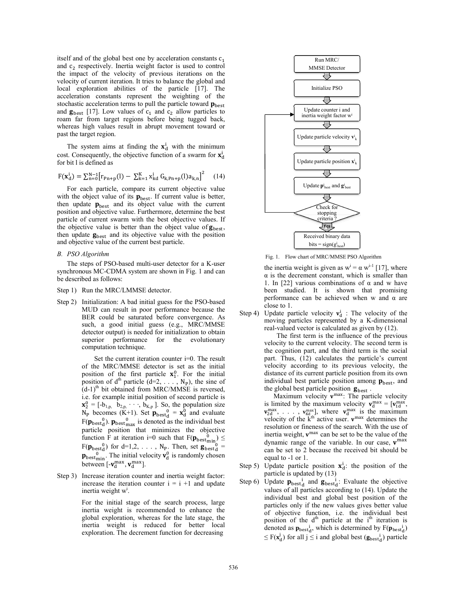itself and of the global best one by acceleration constants  $c_1$ and  $c_2$  respectively. Inertia weight factor is used to control the impact of the velocity of previous iterations on the velocity of current iteration. It tries to balance the global and local exploration abilities of the particle [17]. The acceleration constants represent the w weighting of the stochastic acceleration terms to pull the particle toward  $\mathbf{p}_{\text{best}}$ and  $\mathbf{g}_{best}$  [17]. Low values of  $c_1$  and  $c_2$  allow particles to roam far from target regions before being tugged back, whereas high values result in abrupt movement toward or past the target region.

The system aims at finding the  $x_d^i$  with the minimum cost. Consequently, the objective function of a swarm for  $x_d^i$ for bit l is defined as

$$
F(\mathbf{x}_{d}^{i}) = \sum_{n=0}^{N-1} [r_{Pn+p}(l) - \sum_{k=1}^{K} x_{kd}^{i} G_{k, Pn+p}(l) a_{k,n}]^{2}
$$
 (14)

For each particle, compare its current objective value with the object value of its  $\mathbf{p}_{\text{best}}$ . If current value is better, then update  $\mathbf{p}_{\text{best}}$  and its object value with the current position and objective value. Furthermore, determine the best particle of current swarm with the best objective values. If the objective value is better than the object value of  $\mathbf{g}_{\text{best}}$ , then update  $\mathbf{g}_{\text{best}}$  and its objective value with the position and objective value of the current best particle.

## *B. PSO Algorithm*

The steps of PSO-based multi-user detector for a K-user synchronous MC-CDMA system are shown in Fig. 1 and can be described as follows:

- Step 1) Run the MRC/LMMSE detector.
- Step 2) Initialization: A bad initial guess for the PSO-based MUD can result in poor perform mance because the BER could be saturated before convergence. As such, a good initial guess (e .g., MRC/MMSE detector output) is needed for initialization to obtain superior performance for the evolutionary computation technique.

Set the current iteration counter  $i=0$ . The result of the MRC/MMSE detector is set as the initial position of the first particle  $\mathbf{x}_1^0$ position of  $d^{th}$  particle  $(d=2, \ldots)$  $(d-1)$ <sup>th</sup> bit obtained from MRC/MMSE is reversed, i.e. for example initial position of second particle is  ${\bf x}_2^0 = [-b_{1,p}, \bar{b}_{2,p}, \cdots, \bar{b}_{K,p}]$ . So, th  $N_P$  becomes  $(K+1)$ . Set  $\mathbf{p}_{best_d}^0$  =  $F(\mathbf{p}_{\text{best}}^0)$ .  $\mathbf{p}_{\text{best}}^0$  is denoted as particle position that minimiz function F at iteration i=0 such that  $F(\mathbf{p}_{\text{best}}^0_{\text{min}}) \leq$  $F(\mathbf{p}_{\text{best}_d}^0)$  for d=1,2, ..., N<sub>P.</sub> T  $\mathbf{p}_{\text{best}}^0$ . The initial velocity  $\mathbf{v}_d^0$  is between  $[-v_d^{\text{max}}, v_d^{\text{max}}]$ .  $<sub>1</sub><sup>0</sup>$ . For the initial</sub> ,  $N_P$ ), the sine of he population size  $= \mathbf{x}_{d}^{0}$  and evaluate the individual best es the objective Then, set  $\mathbf{g}_{\text{best}_d}^{\text{max}}$  = s randomly chosen

Step 3) Increase iteration counter and inertia weight factor: increase the iteration counter  $i = i + 1$  and update inertia weight w<sup>i</sup>.

> For the initial stage of the search process, large inertia weight is recommended d to enhance the global exploration, whereas for the late stage, the inertia weight is reduced for better local exploration. The decrement function for decreasing



Fig. 1. Flow chart of MR RC/MMSE PSO Algorithm

the inertia weight is given as  $w^{i} = \alpha w^{i-1}$  [17], where  $\alpha$  is the decrement constant, which is smaller than 1. In [22] various combinations of  $\alpha$  and w have been studied. It is shown that promising performance can be achieved when w and α are close to 1.

Step 4) Update particle velocity  $v_d^i$ : The velocity of the moving particles represented by a K-dimensional real-valued vector is calculated as given by (12).

> The first term is the influence of the previous velocity to the current velocity. The second term is the cognition part, and the third term is the social part. Thus, (12) calculates the particle's current velocity according to its previous velocity, the distance of its current particle position from its own individual best particle position among  $\mathbf{p}_{\text{best}}$ , and the global best particle position  $\mathbf{g}_{best}$ .

Maximum velocity  $\mathbf{v}^{\text{max}}$ : The particle velocity is limited by the maximum velocity  $\mathbf{v}_d^{max} = [\mathbf{v}_{1d}^{max},$  $\mathbf{v}_{\text{2d}}^{\text{max}}, \ldots, \mathbf{v}_{\text{Kd}}^{\text{max}}$ , w velocity of the  $k<sup>th</sup>$  act resolution or fineness of the search. With the use of inertia weight,  $v^{max}$  can be set to be the value of the dynamic range of the variable. In our case,  $v^{max}$ can be set to 2 because the received bit should be equal to -1 or 1. where  $v_d^{\text{max}}$  is the maximum tive user.  $\mathbf{v}^{\text{max}}$  determines the

- Step 5) Update particle position  $x_d^i$ : the position of the particle is updated by (13)
- Step 6) Update  $\mathbf{p}_{\text{best}_d}$  and  $\mathbf{g}$ values of all particles individual best and global best position of the particles only if the n new values gives better value of objective function, i.e. the individual best position of the  $d<sup>th</sup>$  particle at the i<sup>th</sup> iteration is denoted as  $\mathbf{p}_{\text{best}_d}$ , which is determined by  $F(\mathbf{p}_{\text{best}_d})$  $\leq F(\mathbf{x}_{d}^{j})$  for all  $j \leq i$  and global best  $(\mathbf{g}_{\text{best}_{d}}^{j})$  particle  $\mathbf{g}_{\text{best-d}}$ : Evaluate the objective according to (14). Update the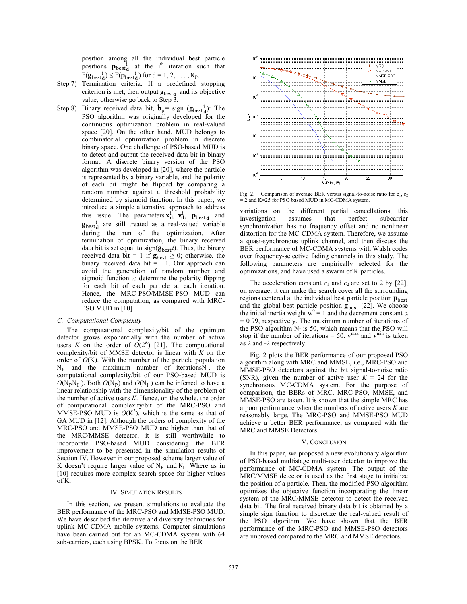position among all the individual best particle positions  $\mathbf{p}_{\text{best}_d}$  at the i<sup>th</sup> iteration such that  $F(\mathbf{g}_{\text{bestd}}^{\text{i}}) \leq F(\mathbf{p}_{\text{bestd}}^{\text{i}})$  for  $d = 1, 2, ..., N_P$ .

- Step 7) Termination criteria: If a predefined stopping criterion is met, then output  $\mathbf{g}_{\text{best}_d}$  and its objective value; otherwise go back to Step 3.
- Step 8) Binary received data bit,  $\hat{\mathbf{b}}_p = \text{sign}(\mathbf{g}_{\text{best}_d})$ : The PSO algorithm was originally developed for the continuous optimization problem in real-valued space [20]. On the other hand, MUD belongs to combinatorial optimization problem in discrete binary space. One challenge of PSO-based MUD is to detect and output the received data bit in binary format. A discrete binary version of the PSO algorithm was developed in [20], where the particle is represented by a binary variable, and the polarity of each bit might be flipped by comparing a random number against a threshold probability determined by sigmoid function. In this paper, we introduce a simple alternative approach to address this issue. The parameters  $\mathbf{x}_{d}^{i}$ ,  $\mathbf{v}_{d}^{i}$ ,  $\mathbf{p}_{best_{d}}^{i}$  and  $\mathbf{g}_{\text{best}_d}$  are still treated as a real-valued variable during the run of the optimization. After termination of optimization, the binary received data bit is set equal to sign( $\mathbf{g}_{\text{best}}$ *t*). Thus, the binary received data bit = 1 if  $\mathbf{g}_{\text{best}} \geq 0$ ; otherwise, the binary received data bit = *−*1. Our approach can avoid the generation of random number and sigmoid function to determine the polarity flipping for each bit of each particle at each iteration. Hence, the MRC-PSO/MMSE-PSO MUD can reduce the computation, as compared with MRC-PSO MUD in [10]

#### *C. Computational Complexity*

The computational complexity/bit of the optimum detector grows exponentially with the number of active users *K* on the order of  $O(2<sup>K</sup>)$  [21]. The computational complexity/bit of MMSE detector is linear with *K* on the order of *O*(K). With the number of the particle population  $N_P$  and the maximum number of iterations $N_I$ , the computational complexity/bit of our PSO-based MUD is  $O(N_P N_I)$ . Both  $O(N_P)$  and  $O(N_I)$  can be inferred to have a linear relationship with the dimensionality of the problem of the number of active users *K*. Hence, on the whole, the order of computational complexity/bit of the MRC-PSO and MMSE-PSO MUD is  $\hat{O}(K^2)$ , which is the same as that of GA MUD in [12]. Although the orders of complexity of the MRC-PSO and MMSE-PSO MUD are higher than that of the MRC/MMSE detector, it is still worthwhile to incorporate PSO-based MUD considering the BER improvement to be presented in the simulation results of Section IV. However in our proposed scheme larger value of K doesn't require larger value of  $N_P$  and  $N_I$ . Where as in [10] requires more complex search space for higher values of K.

#### IV. SIMULATION RESULTS

In this section, we present simulations to evaluate the BER performance of the MRC-PSO and MMSE-PSO MUD. We have described the iterative and diversity techniques for uplink MC-CDMA mobile systems. Computer simulations have been carried out for an MC-CDMA system with 64 sub-carriers, each using BPSK. To focus on the BER



Fig. 2. Comparison of average BER versus signal-to-noise ratio for c<sub>1</sub>, c<sub>2</sub> = 2 and K=25 for PSO based MUD in MC-CDMA system.

variations on the different partial cancellations, this investigation assumes that perfect subcarrier synchronization has no frequency offset and no nonlinear distortion for the MC-CDMA system. Therefore, we assume a quasi-synchronous uplink channel, and then discuss the BER performance of MC-CDMA systems with Walsh codes over frequency-selective fading channels in this study. The following parameters are empirically selected for the optimizations, and have used a swarm of K particles.

The acceleration constant  $c_1$  and  $c_2$  are set to 2 by [22], on average; it can make the search cover all the surrounding regions centered at the individual best particle position  $p_{best}$ and the global best particle position  $\mathbf{g}_{best}$  [22]. We choose the initial inertia weight  $w^0 = 1$  and the decrement constant  $\alpha$ = 0*.*99, respectively. The maximum number of iterations of the PSO algorithm  $N_I$  is 50, which means that the PSO will stop if the number of iterations = 50.  $v^{max}$  and  $v^{min}$  is taken as 2 and -2 respectively.

Fig. 2 plots the BER performance of our proposed PSO algorithm along with MRC and MMSE, i.e., MRC-PSO and MMSE-PSO detectors against the bit signal-to-noise ratio (SNR), given the number of active user  $K = 24$  for the synchronous MC-CDMA system. For the purpose of comparison, the BERs of MRC, MRC-PSO, MMSE, and MMSE-PSO are taken. It is shown that the simple MRC has a poor performance when the numbers of active users *K* are reasonably large. The MRC-PSO and MMSE-PSO MUD achieve a better BER performance, as compared with the MRC and MMSE Detectors.

#### V. CONCLUSION

In this paper, we proposed a new evolutionary algorithm of PSO-based multistage multi-user detector to improve the performance of MC-CDMA system. The output of the MRC/MMSE detector is used as the first stage to initialize the position of a particle. Then, the modified PSO algorithm optimizes the objective function incorporating the linear system of the MRC/MMSE detector to detect the received data bit. The final received binary data bit is obtained by a simple sign function to discretize the real-valued result of the PSO algorithm. We have shown that the BER performance of the MRC-PSO and MMSE-PSO detectors are improved compared to the MRC and MMSE detectors.